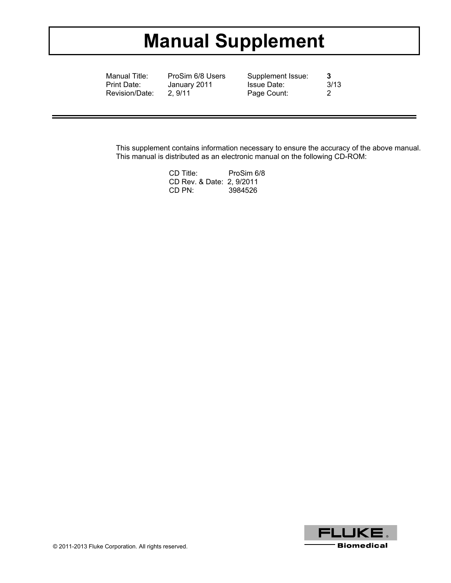# **Manual Supplement**

Manual Title: ProSim 6/8 Users Supplement Issue: 3<br>
Print Date: January 2011 Issue Date: 3/13 January 2011 Revision/Date: 2, 9/11 Page Count: 2

This supplement contains information necessary to ensure the accuracy of the above manual. This manual is distributed as an electronic manual on the following CD-ROM:

| CD Title:                 | ProSim 6/8 |
|---------------------------|------------|
| CD Rev. & Date: 2, 9/2011 |            |
| CD PN:                    | 3984526    |

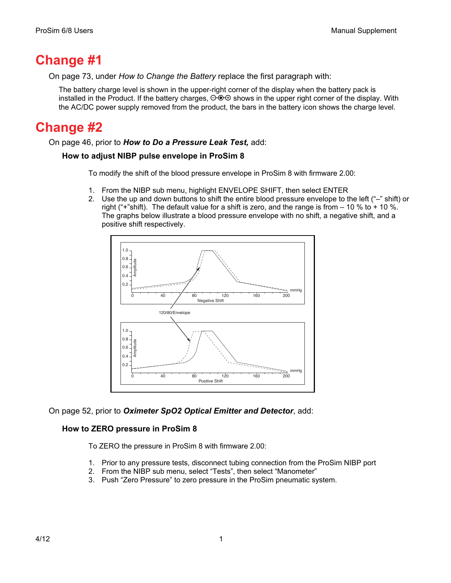### **Change #1**

On page 73, under *How to Change the Battery* replace the first paragraph with:

The battery charge level is shown in the upper-right corner of the display when the battery pack is installed in the Product. If the battery charges,  $\Theta \Theta \Theta$  shows in the upper right corner of the display. With the AC/DC power supply removed from the product, the bars in the battery icon shows the charge level.

## **Change #2**

On page 46, prior to *How to Do a Pressure Leak Test,* add:

#### **How to adjust NIBP pulse envelope in ProSim 8**

To modify the shift of the blood pressure envelope in ProSim 8 with firmware 2.00:

- 1. From the NIBP sub menu, highlight ENVELOPE SHIFT, then select ENTER
- 2. Use the up and down buttons to shift the entire blood pressure envelope to the left ("–" shift) or right ("+"shift). The default value for a shift is zero, and the range is from  $-10\%$  to + 10 %. The graphs below illustrate a blood pressure envelope with no shift, a negative shift, and a positive shift respectively.



On page 52, prior to *Oximeter SpO2 Optical Emitter and Detector*, add:

#### **How to ZERO pressure in ProSim 8**

To ZERO the pressure in ProSim 8 with firmware 2.00:

- 1. Prior to any pressure tests, disconnect tubing connection from the ProSim NIBP port
- 2. From the NIBP sub menu, select "Tests", then select "Manometer"
- 3. Push "Zero Pressure" to zero pressure in the ProSim pneumatic system.